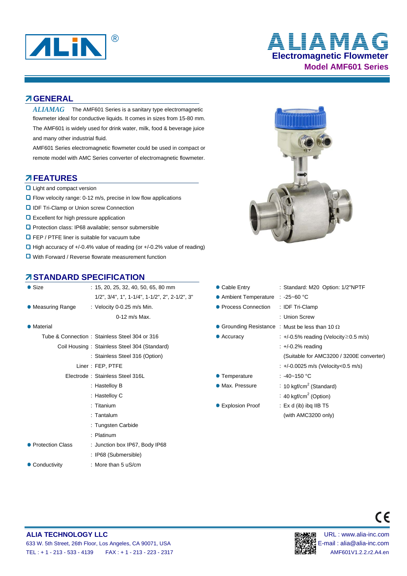

# **Electromagnetic Flowmeter Model AMF601 Series** ® **ALIAMAG**

#### **GENERAL**

 $ALIAMAG$  The AMF601 Series is a sanitary type electromagnetic flowmeter ideal for conductive liquids. It comes in sizes from 15-80 mm. The AMF601 is widely used for drink water, milk, food & beverage juice and many other industrial fluid.

AMF601 Series electromagnetic flowmeter could be used in compact or remote model with AMC Series converter of electromagnetic flowmeter.

#### **FEATURES**

- **Q** Light and compact version
- Flow velocity range: 0-12 m/s, precise in low flow applications
- **D** IDF Tri-Clamp or Union screw Connection
- **Q** Excellent for high pressure application
- **Q** Protection class: IP68 available: sensor submersible
- **O** FEP / PTFE liner is suitable for vacuum tube
- $\Box$  High accuracy of +/-0.4% value of reading (or +/-0.2% value of reading)
- **Q** With Forward / Reverse flowrate measurement function

### **STANDARD SPECIFICATION**

| $\bullet$ Size     | $: 15, 20, 25, 32, 40, 50, 65, 80$ mm                                  | • Cable Entry                     | : Standard: M20 Option                                 |
|--------------------|------------------------------------------------------------------------|-----------------------------------|--------------------------------------------------------|
|                    | $1/2$ ", $3/4$ ", $1$ ", $1-1/4$ ", $1-1/2$ ", $2$ ", $2-1/2$ ", $3$ " | ● Ambient Temperature : -25~60 °C |                                                        |
| • Measuring Range  | : Velocity 0-0.25 m/s Min.                                             | • Process Connection              | : IDF Tri-Clamp                                        |
|                    | 0-12 m/s Max.                                                          |                                   | : Union Screw                                          |
| • Material         |                                                                        |                                   | • Grounding Resistance : Must be less than 10 $\Omega$ |
|                    | Tube & Connection: Stainless Steel 304 or 316                          | $\bullet$ Accuracy                | : +/-0.5% reading (Veloc                               |
|                    | Coil Housing: Stainless Steel 304 (Standard)                           |                                   | $\div$ +/-0.2% reading                                 |
|                    | : Stainless Steel 316 (Option)                                         |                                   | (Suitable for AMC3200                                  |
|                    | Liner: FEP, PTFE                                                       |                                   | $: +/0.0025$ m/s (Velocity                             |
|                    | Electrode: Stainless Steel 316L                                        | • Temperature                     | : $-40-150$ °C                                         |
|                    | : Hastelloy B                                                          | • Max. Pressure                   | : 10 kgf/cm <sup>2</sup> (Standard)                    |
|                    | : Hastelloy C                                                          |                                   | : 40 kgf/cm <sup>2</sup> (Option)                      |
|                    | $:$ Titanium                                                           | ● Explosion Proof                 | :Ex d (ib) ibq IIB T5                                  |
|                    | $:$ Tantalum                                                           |                                   | (with AMC3200 only)                                    |
|                    | : Tungsten Carbide                                                     |                                   |                                                        |
|                    | : Platinum                                                             |                                   |                                                        |
| • Protection Class | : Junction box IP67, Body IP68                                         |                                   |                                                        |
|                    | : IP68 (Submersible)                                                   |                                   |                                                        |
| • Conductivity     | : More than $5 \text{ uS/cm}$                                          |                                   |                                                        |



|                 | STANDARD SPECIFICATION                                                 |                                   |                                                        |
|-----------------|------------------------------------------------------------------------|-----------------------------------|--------------------------------------------------------|
| Size            | $: 15, 20, 25, 32, 40, 50, 65, 80$ mm                                  | $\bullet$ Cable Entry             | : Standard: M20 Option: 1/2"NPTF                       |
|                 | $1/2$ ", $3/4$ ", $1$ ", $1-1/4$ ", $1-1/2$ ", $2$ ", $2-1/2$ ", $3$ " | ● Ambient Temperature : -25~60 °C |                                                        |
| Measuring Range | : Velocity $0-0.25$ m/s Min.                                           | • Process Connection              | : IDF Tri-Clamp                                        |
|                 | $0-12$ m/s Max.                                                        |                                   | : Union Screw                                          |
| Material        |                                                                        |                                   | • Grounding Resistance : Must be less than 10 $\Omega$ |
|                 | Tube & Connection: Stainless Steel 304 or 316                          | $\bullet$ Accuracy                | $\div$ +/-0.5% reading (Velocity $\geq$ 0.5 m/s)       |
|                 | Coil Housing: Stainless Steel 304 (Standard)                           |                                   | $\div$ +/-0.2% reading                                 |
|                 | : Stainless Steel 316 (Option)                                         |                                   | (Suitable for AMC3200 / 3200E converter)               |
|                 | Liner: FEP, PTFE                                                       |                                   | : +/-0.0025 m/s (Velocity<0.5 m/s)                     |
|                 | Electrode: Stainless Steel 316L                                        | • Temperature                     | : $-40-150$ °C                                         |
|                 | : Hastelloy B                                                          | • Max. Pressure                   | : 10 kgf/cm <sup>2</sup> (Standard)                    |
|                 | : Hastelloy C                                                          |                                   | : 40 kgf/cm <sup>2</sup> (Option)                      |
|                 | $:$ Titanium                                                           | ● Explosion Proof                 | $:$ Ex d (ib) ibg IIB T5                               |
|                 | : Tantalum                                                             |                                   | (with AMC3200 only)                                    |
|                 | .                                                                      |                                   |                                                        |



 $\epsilon$ 

#### **ALIA TECHNOLOGY LLC DEVICED AND RESOLUTION OF THE URL IN SECTION OF THE URL : www.alia-inc.com** 633 W. 5th Street, 26th Floor, Los Angeles, CA 90071, USA E-mail : alia@alia-inc.com TEL : + 1 - 213 - 533 - 4139 FAX : + 1 - 213 - 223 - 2317 AMF601V1.2.2.r2.A4.en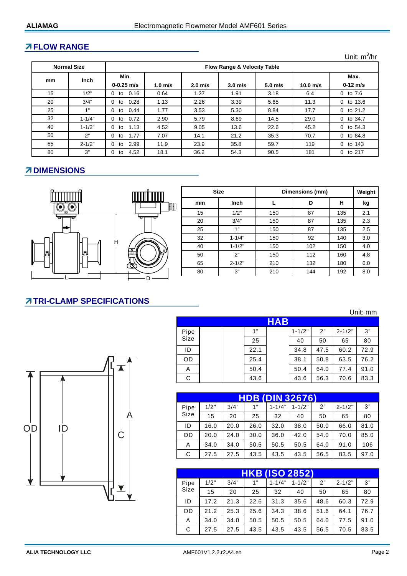### **FLOW RANGE**

Unit: m<sup>3</sup>/hr

Unit: mm

|    | <b>Normal Size</b> | <b>Flow Range &amp; Velocity Table</b> |                    |                   |                    |                    |            |                    |
|----|--------------------|----------------------------------------|--------------------|-------------------|--------------------|--------------------|------------|--------------------|
| mm | <b>Inch</b>        | Min.<br>$0 - 0.25$ m/s                 | 1.0 <sub>m/s</sub> | $2.0 \text{ m/s}$ | 3.0 <sub>m/s</sub> | 5.0 <sub>m/s</sub> | $10.0$ m/s | Max.<br>$0-12$ m/s |
| 15 | 1/2"               | 0.16<br>0<br>to                        | 0.64               | 1.27              | 1.91               | 3.18               | 6.4        | $0$ to $7.6$       |
| 20 | 3/4"               | 0.28<br>0<br>to                        | 1.13               | 2.26              | 3.39               | 5.65               | 11.3       | $0$ to 13.6        |
| 25 | 1"                 | 0.44<br>0<br>to                        | 1.77               | 3.53              | 5.30               | 8.84               | 17.7       | 0 to $21.2$        |
| 32 | $1 - 1/4"$         | 0.72<br>0<br>to                        | 2.90               | 5.79              | 8.69               | 14.5               | 29.0       | 0 to 34.7          |
| 40 | $1 - 1/2"$         | 1.13<br>0<br>to                        | 4.52               | 9.05              | 13.6               | 22.6               | 45.2       | 0 to $54.3$        |
| 50 | 2"                 | 1.77<br>0<br>to                        | 7.07               | 14.1              | 21.2               | 35.3               | 70.7       | 0 to 84.8          |
| 65 | $2 - 1/2"$         | 2.99<br>0<br>to                        | 11.9               | 23.9              | 35.8               | 59.7               | 119        | 0 to 143           |
| 80 | 3"                 | 4.52<br>0<br>to                        | 18.1               | 36.2              | 54.3               | 90.5               | 181        | 0 to 217           |

## **ZDIMENSIONS**



|    | <b>Size</b> | Dimensions (mm) | Weight |     |     |
|----|-------------|-----------------|--------|-----|-----|
| mm | Inch        |                 | D      | н   | kg  |
| 15 | 1/2"        | 150             | 87     | 135 | 2.1 |
| 20 | 3/4"        | 150             | 87     | 135 | 2.3 |
| 25 | 1"          | 150             | 87     | 135 | 2.5 |
| 32 | $1 - 1/4"$  | 150             | 92     | 140 | 3.0 |
| 40 | $1 - 1/2"$  | 150             | 102    | 150 | 4.0 |
| 50 | 2"          | 150             | 112    | 160 | 4.8 |
| 65 | $2 - 1/2"$  | 210             | 132    | 180 | 6.0 |
| 80 | 3"          | 210             | 144    | 192 | 8.0 |

# **TRI-CLAMP SPECIFICATIONS**



|      |  |      | <b>HAB</b> |            |      |            |      |
|------|--|------|------------|------------|------|------------|------|
| Pipe |  | 1"   |            | $1 - 1/2"$ | 2"   | $2 - 1/2"$ | 3"   |
| Size |  | 25   |            | 40         | 50   | 65         | 80   |
| ID   |  | 22.1 |            | 34.8       | 47.5 | 60.2       | 72.9 |
| OD   |  | 25.4 |            | 38.1       | 50.8 | 63.5       | 76.2 |
| Α    |  | 50.4 |            | 50.4       | 64.0 | 77.4       | 91.0 |
| С    |  | 43.6 |            | 43.6       | 56.3 | 70.6       | 83.3 |

|   |      |      |      |      |            | <b>HDB (DIN 32676)</b> |      |            |      |
|---|------|------|------|------|------------|------------------------|------|------------|------|
|   | Pipe | 1/2" | 3/4" | 1"   | $1 - 1/4"$ | $1 - 1/2"$             | 2"   | $2 - 1/2"$ | 3"   |
| Α | Size | 15   | 20   | 25   | 32         | 40                     | 50   | 65         | 80   |
|   | ID   | 16.0 | 20.0 | 26.0 | 32.0       | 38.0                   | 50.0 | 66.0       | 81.0 |
|   | OD   | 20.0 | 24.0 | 30.0 | 36.0       | 42.0                   | 54.0 | 70.0       | 85.0 |
|   | A    | 34.0 | 34.0 | 50.5 | 50.5       | 50.5                   | 64.0 | 91.0       | 106  |
|   | С    | 27.5 | 27.5 | 43.5 | 43.5       | 43.5                   | 56.5 | 83.5       | 97.0 |

|      |      |      |      | <b>HKB (ISO 2852)</b> |            |      |            |      |
|------|------|------|------|-----------------------|------------|------|------------|------|
| Pipe | 1/2" | 3/4" | 1"   | $1 - 1/4"$            | $1 - 1/2"$ | 2"   | $2 - 1/2"$ | 3"   |
| Size | 15   | 20   | 25   | 32                    | 40         | 50   | 65         | 80   |
| ID   | 17.2 | 21.3 | 22.6 | 31.3                  | 35.6       | 48.6 | 60.3       | 72.9 |
| 0D   | 21.2 | 25.3 | 25.6 | 34.3                  | 38.6       | 51.6 | 64.1       | 76.7 |
| A    | 34.0 | 34.0 | 50.5 | 50.5                  | 50.5       | 64.0 | 77.5       | 91.0 |
| С    | 27.5 | 27.5 | 43.5 | 43.5                  | 43.5       | 56.5 | 70.5       | 83.5 |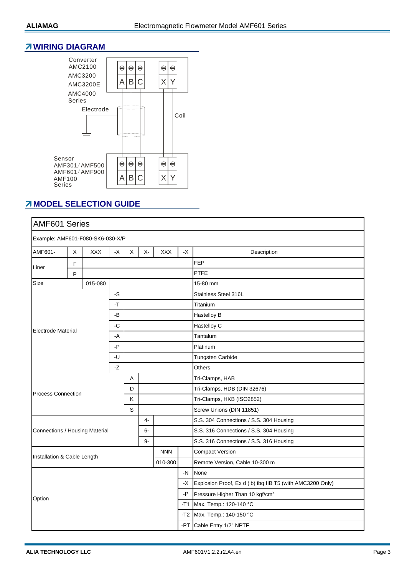#### **WIRING DIAGRAM**



## *MODEL SELECTION GUIDE*

| <b>AMF601 Series</b>             |             |         |                       |   |       |            |      |                                                           |  |  |
|----------------------------------|-------------|---------|-----------------------|---|-------|------------|------|-----------------------------------------------------------|--|--|
| Example: AMF601-F080-SK6-030-X/P |             |         |                       |   |       |            |      |                                                           |  |  |
| AMF601-                          | $\mathsf X$ | XXX     | $\mathord{\text{-x}}$ | X | $X -$ | <b>XXX</b> | $-X$ | Description                                               |  |  |
|                                  | $\mathsf F$ |         |                       |   |       |            |      | <b>FEP</b>                                                |  |  |
| Liner                            | P           |         |                       |   |       |            |      | PTFE                                                      |  |  |
| Size                             |             | 015-080 |                       |   |       |            |      | 15-80 mm                                                  |  |  |
|                                  |             |         | -S                    |   |       |            |      | Stainless Steel 316L                                      |  |  |
| -T<br>-B                         |             |         |                       |   |       | Titanium   |      |                                                           |  |  |
|                                  |             |         |                       |   |       |            |      | Hastelloy B                                               |  |  |
| <b>Electrode Material</b>        |             |         | -C                    |   |       |            |      | Hastelloy C                                               |  |  |
|                                  |             |         | -A                    |   |       |            |      | Tantalum                                                  |  |  |
|                                  |             |         | -P                    |   |       |            |      | Platinum                                                  |  |  |
|                                  |             |         | -U                    |   |       |            |      | <b>Tungsten Carbide</b>                                   |  |  |
|                                  |             |         | $-Z$                  |   |       |            |      | Others                                                    |  |  |
|                                  |             |         |                       | A |       |            |      | Tri-Clamps, HAB                                           |  |  |
| <b>Process Connection</b>        |             |         |                       | D |       |            |      | Tri-Clamps, HDB (DIN 32676)                               |  |  |
|                                  |             |         |                       | K |       |            |      | Tri-Clamps, HKB (ISO2852)                                 |  |  |
|                                  |             |         |                       | S |       |            |      | Screw Unions (DIN 11851)                                  |  |  |
|                                  |             |         |                       |   | $4-$  |            |      | S.S. 304 Connections / S.S. 304 Housing                   |  |  |
| Connections / Housing Material   |             |         |                       |   | 6-    |            |      | S.S. 316 Connections / S.S. 304 Housing                   |  |  |
|                                  |             |         |                       |   | $9-$  |            |      | S.S. 316 Connections / S.S. 316 Housing                   |  |  |
| Installation & Cable Length      |             |         |                       |   |       | <b>NNN</b> |      | <b>Compact Version</b>                                    |  |  |
|                                  |             |         |                       |   |       | 010-300    |      | Remote Version, Cable 10-300 m                            |  |  |
|                                  |             |         |                       |   |       |            | $-N$ | None                                                      |  |  |
|                                  |             |         |                       |   |       |            | -X   | Explosion Proof, Ex d (ib) ibq IIB T5 (with AMC3200 Only) |  |  |
| Option                           |             |         |                       |   |       |            | -P   | Pressure Higher Than 10 kgf/cm <sup>2</sup>               |  |  |
|                                  |             |         |                       |   |       |            | -T1  | Max. Temp.: 120-140 °C                                    |  |  |
|                                  |             |         |                       |   |       |            | -T2  | Max. Temp.: 140-150 °C                                    |  |  |
|                                  |             |         |                       |   |       |            |      | -PT Cable Entry 1/2" NPTF                                 |  |  |